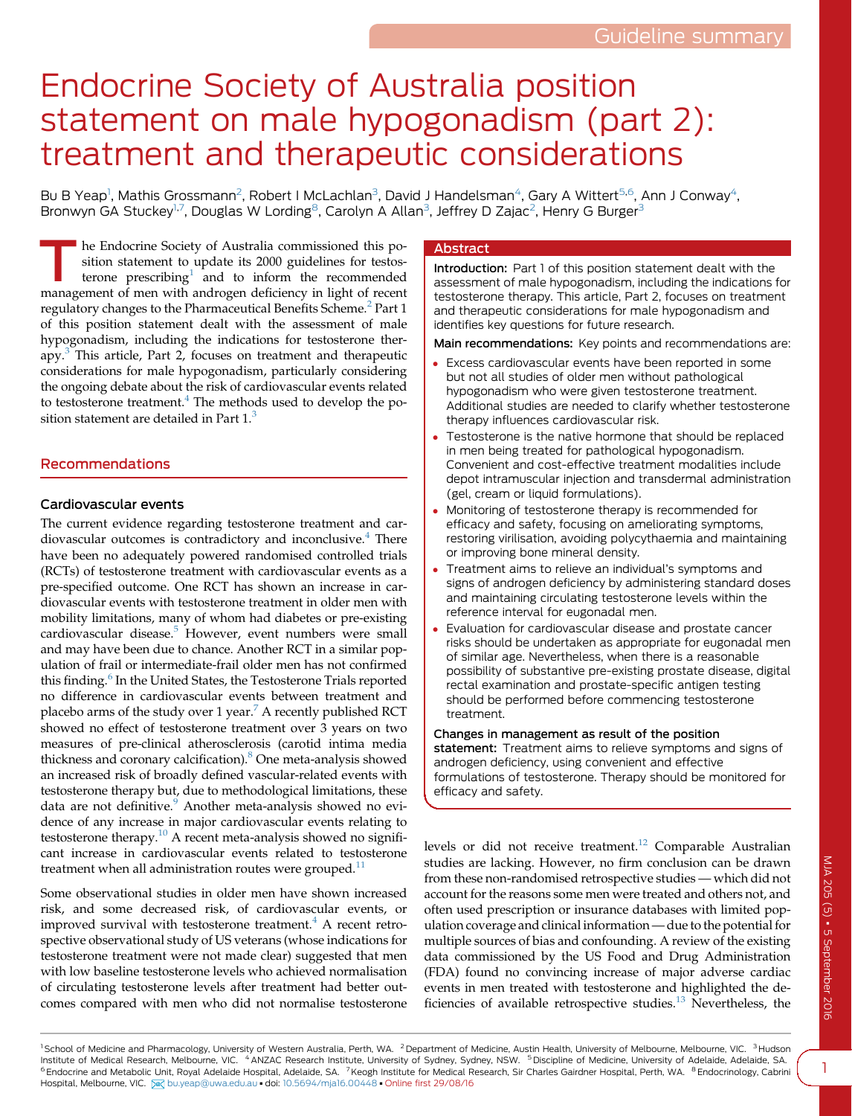# Endocrine Society of Australia position statement on male hypogonadism (part 2): treatment and therapeutic considerations

Bu B Yeap<sup>1</sup>, Mathis Grossmann<sup>2</sup>, Robert I McLachlan<sup>3</sup>, David J Handelsman<sup>4</sup>, Gary A Wittert<sup>5,6</sup>, Ann J Conway<sup>4</sup>, Bronwyn GA Stuckey<sup>1,7</sup>, Douglas W Lording<sup>8</sup>, Carolyn A Allan<sup>3</sup>, Jeffrey D Zajac<sup>2</sup>, Henry G Burger<sup>3</sup>

The Endocrine Society of Australia commissioned this po-<br>
terone prescribing<sup>[1](#page-3-0)</sup> and to inform the recommended<br>
management of man with and recommended in light of recontracts sition statement to update its 2000 guidelines for testosmanagement of men with androgen deficiency in light of recent regulatory changes to the Pharmaceutical Benefits Scheme.<sup>[2](#page-3-0)</sup> Part 1 of this position statement dealt with the assessment of male hypogonadism, including the indications for testosterone therapy.[3](#page-3-0) This article, Part 2, focuses on treatment and therapeutic considerations for male hypogonadism, particularly considering the ongoing debate about the risk of cardiovascular events related to testosterone treatment.<sup>4</sup> The methods used to develop the position statement are detailed in Part  $1$ .<sup>[3](#page-3-0)</sup>

## Recommendations

## Cardiovascular events

The current evidence regarding testosterone treatment and car-diovascular outcomes is contradictory and inconclusive.<sup>[4](#page-3-0)</sup> There have been no adequately powered randomised controlled trials (RCTs) of testosterone treatment with cardiovascular events as a pre-specified outcome. One RCT has shown an increase in cardiovascular events with testosterone treatment in older men with mobility limitations, many of whom had diabetes or pre-existing cardiovascular disease.<sup>5</sup> However, event numbers were small and may have been due to chance. Another RCT in a similar population of frail or intermediate-frail older men has not confirmed this finding.<sup>[6](#page-3-0)</sup> In the United States, the Testosterone Trials reported no difference in cardiovascular events between treatment and placebo arms of the study over 1 year.<sup>[7](#page-3-0)</sup> A recently published RCT showed no effect of testosterone treatment over 3 years on two measures of pre-clinical atherosclerosis (carotid intima media thickness and coronary calcification)[.8](#page-3-0) One meta-analysis showed an increased risk of broadly defined vascular-related events with testosterone therapy but, due to methodological limitations, these data are not definitive.<sup>[9](#page-3-0)</sup> Another meta-analysis showed no evidence of any increase in major cardiovascular events relating to testosterone therapy.[10](#page-3-0) A recent meta-analysis showed no significant increase in cardiovascular events related to testosterone treatment when all administration routes were grouped.<sup>[11](#page-3-0)</sup>

Some observational studies in older men have shown increased risk, and some decreased risk, of cardiovascular events, or improved survival with testosterone treatment. $4$  A recent retrospective observational study of US veterans (whose indications for testosterone treatment were not made clear) suggested that men with low baseline testosterone levels who achieved normalisation of circulating testosterone levels after treatment had better outcomes compared with men who did not normalise testosterone

### Abstract

Introduction: Part 1 of this position statement dealt with the assessment of male hypogonadism, including the indications for testosterone therapy. This article, Part 2, focuses on treatment and therapeutic considerations for male hypogonadism and identifies key questions for future research.

Main recommendations: Key points and recommendations are:

- Excess cardiovascular events have been reported in some but not all studies of older men without pathological hypogonadism who were given testosterone treatment. Additional studies are needed to clarify whether testosterone therapy influences cardiovascular risk.
- Testosterone is the native hormone that should be replaced in men being treated for pathological hypogonadism. Convenient and cost-effective treatment modalities include depot intramuscular injection and transdermal administration (gel, cream or liquid formulations).
- Monitoring of testosterone therapy is recommended for efficacy and safety, focusing on ameliorating symptoms, restoring virilisation, avoiding polycythaemia and maintaining or improving bone mineral density.
- Treatment aims to relieve an individual's symptoms and signs of androgen deficiency by administering standard doses and maintaining circulating testosterone levels within the reference interval for eugonadal men.
- Evaluation for cardiovascular disease and prostate cancer risks should be undertaken as appropriate for eugonadal men of similar age. Nevertheless, when there is a reasonable possibility of substantive pre-existing prostate disease, digital rectal examination and prostate-specific antigen testing should be performed before commencing testosterone treatment.

Changes in management as result of the position statement: Treatment aims to relieve symptoms and signs of androgen deficiency, using convenient and effective formulations of testosterone. Therapy should be monitored for efficacy and safety.

levels or did not receive treatment.<sup>12</sup> Comparable Australian studies are lacking. However, no firm conclusion can be drawn from these non-randomised retrospective studies — which did not account for the reasons some men were treated and others not, and often used prescription or insurance databases with limited population coverage and clinical information—due to the potential for multiple sources of bias and confounding. A review of the existing data commissioned by the US Food and Drug Administration (FDA) found no convincing increase of major adverse cardiac events in men treated with testosterone and highlighted the de-ficiencies of available retrospective studies.<sup>[13](#page-3-0)</sup> Nevertheless, the

<sup>1</sup> School of Medicine and Pharmacology, University of Western Australia, Perth, WA. <sup>2</sup> Department of Medicine, Austin Health, University of Melbourne, Melbourne, VIC. <sup>3</sup> Hudson Institute of Medical Research, Melbourne, VIC. <sup>4</sup> ANZAC Research Institute, University of Sydney, Sydney, NSW. <sup>5</sup> Discipline of Medicine, University of Adelaide, Adelaide, Adelaide, SA. <sup>6</sup> Endocrine and Metabolic Unit, Royal Adelaide Hospital, Adelaide, SA. <sup>7</sup> Keogh Institute for Medical Research, Sir Charles Gairdner Hospital, Perth, WA. <sup>8</sup> Endocrinology, Cabrini Hospital, Melbourne, VIC. 8 [bu.yeap@uwa.edu.au](mailto:bu.yeap@uwa.edu.au) - doi: [10.5694/mja16.00448](http://dx.doi.org/10.5694/mja16.00448) - Online first 29/08/16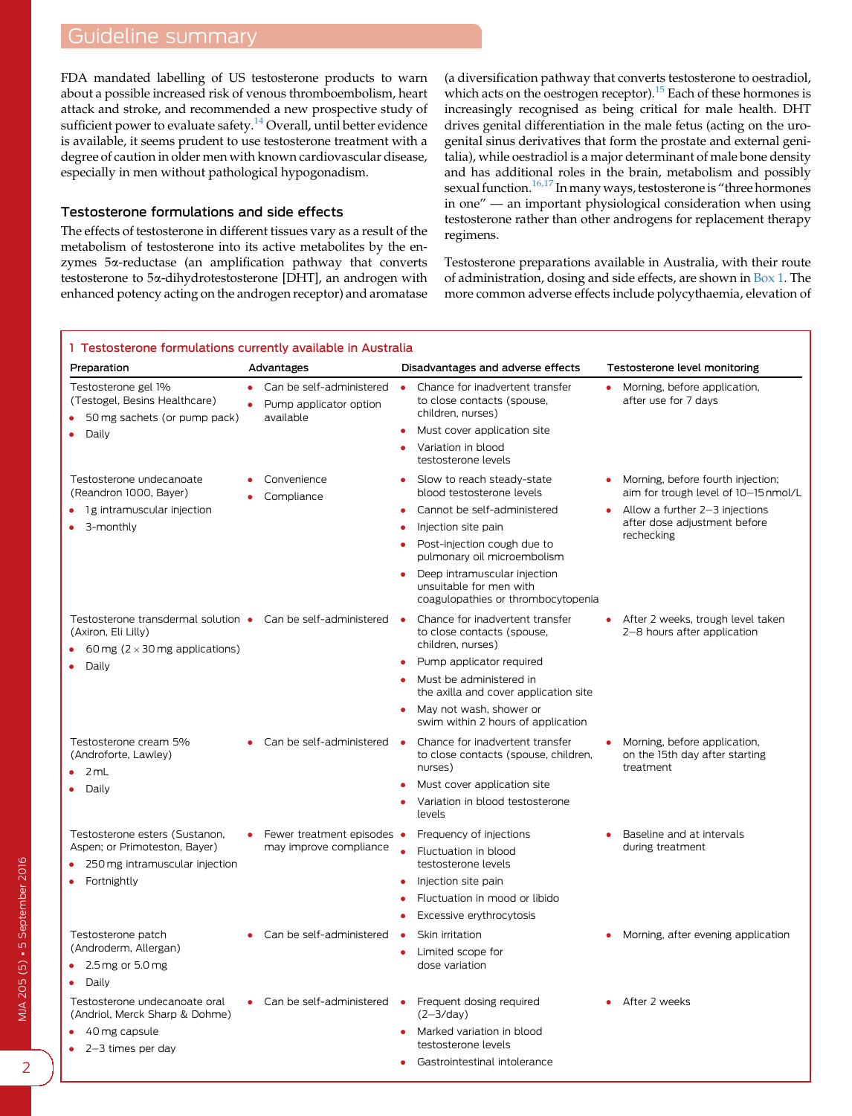## <span id="page-1-0"></span>Guideline summary

FDA mandated labelling of US testosterone products to warn about a possible increased risk of venous thromboembolism, heart attack and stroke, and recommended a new prospective study of sufficient power to evaluate safety.<sup>[14](#page-3-0)</sup> Overall, until better evidence is available, it seems prudent to use testosterone treatment with a degree of caution in older men with known cardiovascular disease, especially in men without pathological hypogonadism.

## Testosterone formulations and side effects

The effects of testosterone in different tissues vary as a result of the metabolism of testosterone into its active metabolites by the enzymes 5a-reductase (an amplification pathway that converts testosterone to 5a-dihydrotestosterone [DHT], an androgen with enhanced potency acting on the androgen receptor) and aromatase

(a diversification pathway that converts testosterone to oestradiol, which acts on the oestrogen receptor).<sup>[15](#page-3-0)</sup> Each of these hormones is increasingly recognised as being critical for male health. DHT drives genital differentiation in the male fetus (acting on the urogenital sinus derivatives that form the prostate and external genitalia), while oestradiol is a major determinant of male bone density and has additional roles in the brain, metabolism and possibly sexual function.<sup>[16,17](#page-3-0)</sup> In many ways, testosterone is "three hormones" in one" — an important physiological consideration when using testosterone rather than other androgens for replacement therapy regimens.

Testosterone preparations available in Australia, with their route of administration, dosing and side effects, are shown in Box 1. The more common adverse effects include polycythaemia, elevation of

#### 1 Testosterone formulations currently available in Australia Preparation **Advantages** Disadvantages Disadvantages and adverse effects Testosterone level monitoring Testosterone gel 1% (Testogel, Besins Healthcare) 50 mg sachets (or pump pack) Daily Can be self-administered Pump applicator option available **Chance for inadvertent transfer** to close contacts (spouse, children, nurses) Must cover application site Variation in blood testosterone levels Morning, before application, after use for 7 days Testosterone undecanoate (Reandron 1000, Bayer) 1g intramuscular injection 3-monthly Convenience Compliance Slow to reach steady-state blood testosterone levels Cannot be self-administered Injection site pain Post-injection cough due to pulmonary oil microembolism Deep intramuscular injection unsuitable for men with coagulopathies or thrombocytopenia Morning, before fourth injection; aim for trough level of 10-15 nmol/L Allow a further 2-3 injections after dose adjustment before rechecking Testosterone transdermal solution • Can be self-administered • (Axiron, Eli Lilly) 60 mg ( $2 \times 30$  mg applications) Daily Chance for inadvertent transfer to close contacts (spouse, children, nurses) Pump applicator required Must be administered in the axilla and cover application site May not wash, shower or swim within 2 hours of application After 2 weeks, trough level taken 2-8 hours after application Testosterone cream 5% (Androforte, Lawley) 2 mL Daily Can be self-administered Chance for inadvertent transfer to close contacts (spouse, children, nurses) Must cover application site Variation in blood testosterone levels Morning, before application, on the 15th day after starting treatment Testosterone esters (Sustanon, Aspen; or Primoteston, Bayer) 250 mg intramuscular injection Fortnightly Fewer treatment episodes • may improve compliance Frequency of injections Fluctuation in blood testosterone levels Injection site pain Fluctuation in mood or libido Excessive erythrocytosis Baseline and at intervals during treatment Testosterone patch (Androderm, Allergan) 2.5mg or 5.0 mg Daily Can be self-administered • Skin irritation Limited scope for dose variation Morning, after evening application Testosterone undecanoate oral (Andriol, Merck Sharp & Dohme) 40 mg capsule 2-3 times per day Can be self-administered • Frequent dosing required  $(2-3/day)$  Marked variation in blood testosterone levels **•** Gastrointestinal intolerance After 2 weeks

2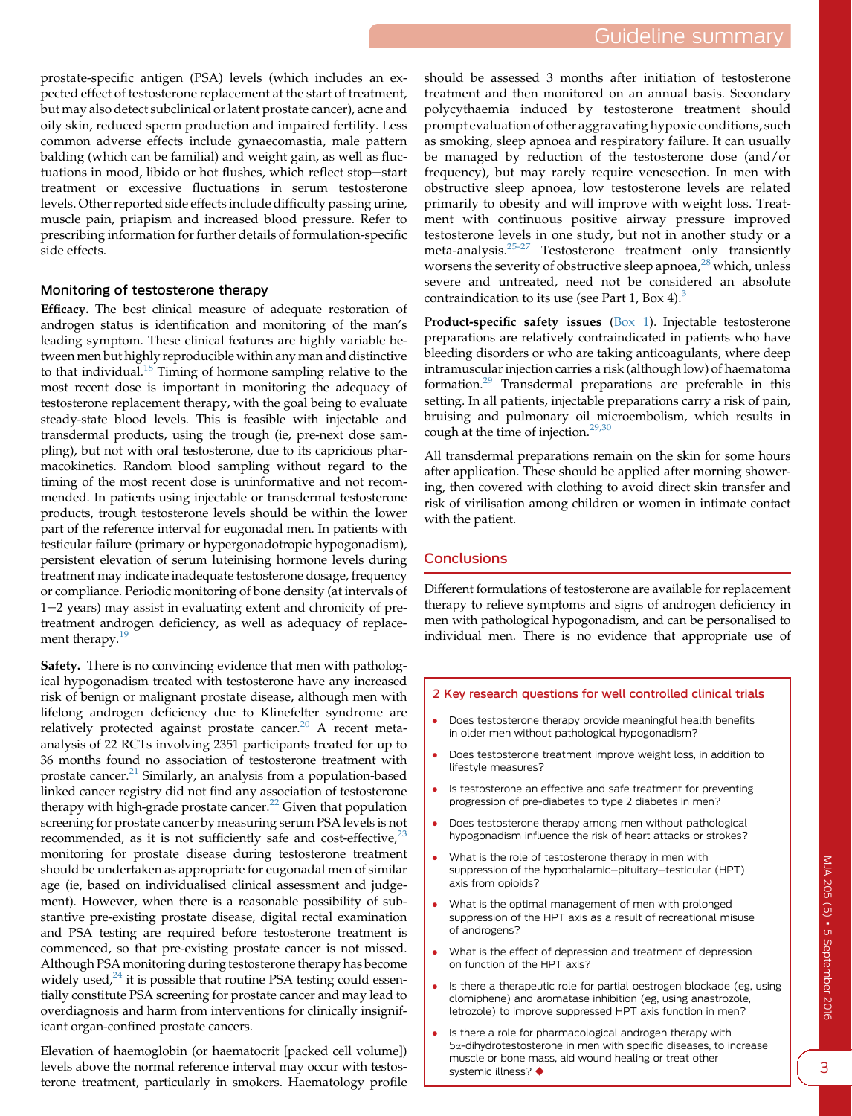<span id="page-2-0"></span>prostate-specific antigen (PSA) levels (which includes an expected effect of testosterone replacement at the start of treatment, but may also detect subclinical or latent prostate cancer), acne and oily skin, reduced sperm production and impaired fertility. Less common adverse effects include gynaecomastia, male pattern balding (which can be familial) and weight gain, as well as fluctuations in mood, libido or hot flushes, which reflect stop-start treatment or excessive fluctuations in serum testosterone levels. Other reported side effects include difficulty passing urine, muscle pain, priapism and increased blood pressure. Refer to prescribing information for further details of formulation-specific side effects.

## Monitoring of testosterone therapy

Efficacy. The best clinical measure of adequate restoration of androgen status is identification and monitoring of the man's leading symptom. These clinical features are highly variable between men but highly reproducible within any man and distinctive to that individual.<sup>18</sup> Timing of hormone sampling relative to the most recent dose is important in monitoring the adequacy of testosterone replacement therapy, with the goal being to evaluate steady-state blood levels. This is feasible with injectable and transdermal products, using the trough (ie, pre-next dose sampling), but not with oral testosterone, due to its capricious pharmacokinetics. Random blood sampling without regard to the timing of the most recent dose is uninformative and not recommended. In patients using injectable or transdermal testosterone products, trough testosterone levels should be within the lower part of the reference interval for eugonadal men. In patients with testicular failure (primary or hypergonadotropic hypogonadism), persistent elevation of serum luteinising hormone levels during treatment may indicate inadequate testosterone dosage, frequency or compliance. Periodic monitoring of bone density (at intervals of  $1-2$  years) may assist in evaluating extent and chronicity of pretreatment androgen deficiency, as well as adequacy of replace-ment therapy.<sup>[19](#page-3-0)</sup>

Safety. There is no convincing evidence that men with pathological hypogonadism treated with testosterone have any increased risk of benign or malignant prostate disease, although men with lifelong androgen deficiency due to Klinefelter syndrome are relatively protected against prostate cancer.<sup>[20](#page-3-0)</sup> A recent metaanalysis of 22 RCTs involving 2351 participants treated for up to 36 months found no association of testosterone treatment with prostate cancer.<sup>[21](#page-3-0)</sup> Similarly, an analysis from a population-based linked cancer registry did not find any association of testosterone therapy with high-grade prostate cancer.<sup>[22](#page-3-0)</sup> Given that population screening for prostate cancer by measuring serum PSA levels is not recommended, as it is not sufficiently safe and cost-effective, $2<sup>3</sup>$ monitoring for prostate disease during testosterone treatment should be undertaken as appropriate for eugonadal men of similar age (ie, based on individualised clinical assessment and judgement). However, when there is a reasonable possibility of substantive pre-existing prostate disease, digital rectal examination and PSA testing are required before testosterone treatment is commenced, so that pre-existing prostate cancer is not missed. Although PSA monitoring during testosterone therapy has become widely used, $24$  it is possible that routine PSA testing could essentially constitute PSA screening for prostate cancer and may lead to overdiagnosis and harm from interventions for clinically insignificant organ-confined prostate cancers.

Elevation of haemoglobin (or haematocrit [packed cell volume]) levels above the normal reference interval may occur with testosterone treatment, particularly in smokers. Haematology profile

should be assessed 3 months after initiation of testosterone treatment and then monitored on an annual basis. Secondary polycythaemia induced by testosterone treatment should prompt evaluation of other aggravating hypoxic conditions, such as smoking, sleep apnoea and respiratory failure. It can usually be managed by reduction of the testosterone dose (and/or frequency), but may rarely require venesection. In men with obstructive sleep apnoea, low testosterone levels are related primarily to obesity and will improve with weight loss. Treatment with continuous positive airway pressure improved testosterone levels in one study, but not in another study or a meta-analysis.[25-27](#page-3-0) Testosterone treatment only transiently worsens the severity of obstructive sleep apnoea,  $28$ <sup>x</sup> which, unless severe and untreated, need not be considered an absolute contraindication to its use (see Part 1, Box 4). $3$ 

Product-specific safety issues [\(Box 1\)](#page-1-0). Injectable testosterone preparations are relatively contraindicated in patients who have bleeding disorders or who are taking anticoagulants, where deep intramuscular injection carries a risk (although low) of haematoma formation.[29](#page-3-0) Transdermal preparations are preferable in this setting. In all patients, injectable preparations carry a risk of pain, bruising and pulmonary oil microembolism, which results in cough at the time of injection.<sup>[29,30](#page-3-0)</sup>

All transdermal preparations remain on the skin for some hours after application. These should be applied after morning showering, then covered with clothing to avoid direct skin transfer and risk of virilisation among children or women in intimate contact with the patient.

## **Conclusions**

Different formulations of testosterone are available for replacement therapy to relieve symptoms and signs of androgen deficiency in men with pathological hypogonadism, and can be personalised to individual men. There is no evidence that appropriate use of

### 2 Key research questions for well controlled clinical trials

- Does testosterone therapy provide meaningful health benefits in older men without pathological hypogonadism?
- Does testosterone treatment improve weight loss, in addition to lifestyle measures?
- Is testosterone an effective and safe treatment for preventing progression of pre-diabetes to type 2 diabetes in men?
- Does testosterone therapy among men without pathological hypogonadism influence the risk of heart attacks or strokes?
- What is the role of testosterone therapy in men with suppression of the hypothalamic-pituitary-testicular (HPT) axis from opioids?
- What is the optimal management of men with prolonged suppression of the HPT axis as a result of recreational misuse of androgens?
- What is the effect of depression and treatment of depression on function of the HPT axis?
- Is there a therapeutic role for partial oestrogen blockade (eg, using clomiphene) and aromatase inhibition (eg, using anastrozole, letrozole) to improve suppressed HPT axis function in men?
- Is there a role for pharmacological androgen therapy with 5a-dihydrotestosterone in men with specific diseases, to increase muscle or bone mass, aid wound healing or treat other systemic illness?  $\blacklozenge$